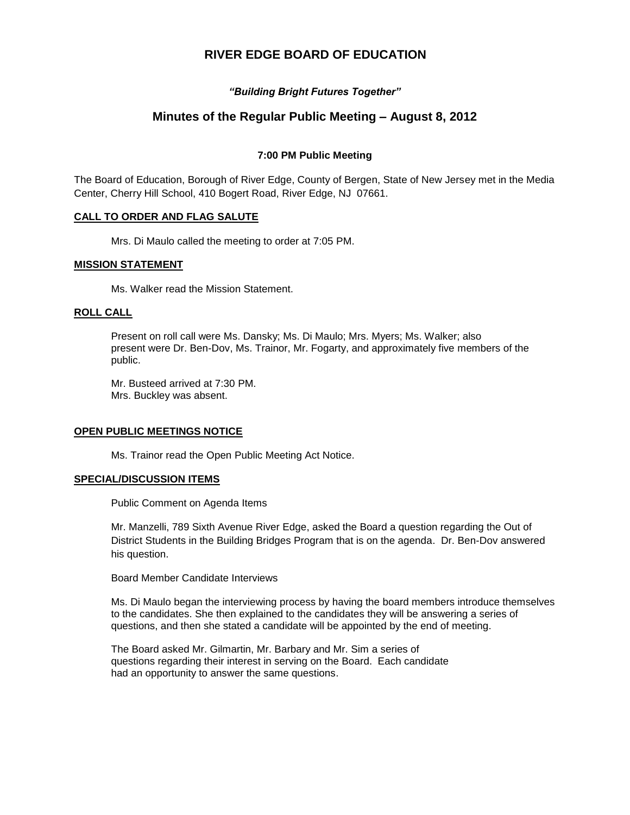# **RIVER EDGE BOARD OF EDUCATION**

## *"Building Bright Futures Together"*

# **Minutes of the Regular Public Meeting – August 8, 2012**

## **7:00 PM Public Meeting**

The Board of Education, Borough of River Edge, County of Bergen, State of New Jersey met in the Media Center, Cherry Hill School, 410 Bogert Road, River Edge, NJ 07661.

### **CALL TO ORDER AND FLAG SALUTE**

Mrs. Di Maulo called the meeting to order at 7:05 PM.

### **MISSION STATEMENT**

Ms. Walker read the Mission Statement.

### **ROLL CALL**

Present on roll call were Ms. Dansky; Ms. Di Maulo; Mrs. Myers; Ms. Walker; also present were Dr. Ben-Dov, Ms. Trainor, Mr. Fogarty, and approximately five members of the public.

Mr. Busteed arrived at 7:30 PM. Mrs. Buckley was absent.

### **OPEN PUBLIC MEETINGS NOTICE**

Ms. Trainor read the Open Public Meeting Act Notice.

### **SPECIAL/DISCUSSION ITEMS**

Public Comment on Agenda Items

Mr. Manzelli, 789 Sixth Avenue River Edge, asked the Board a question regarding the Out of District Students in the Building Bridges Program that is on the agenda. Dr. Ben-Dov answered his question.

Board Member Candidate Interviews

Ms. Di Maulo began the interviewing process by having the board members introduce themselves to the candidates. She then explained to the candidates they will be answering a series of questions, and then she stated a candidate will be appointed by the end of meeting.

The Board asked Mr. Gilmartin, Mr. Barbary and Mr. Sim a series of questions regarding their interest in serving on the Board. Each candidate had an opportunity to answer the same questions.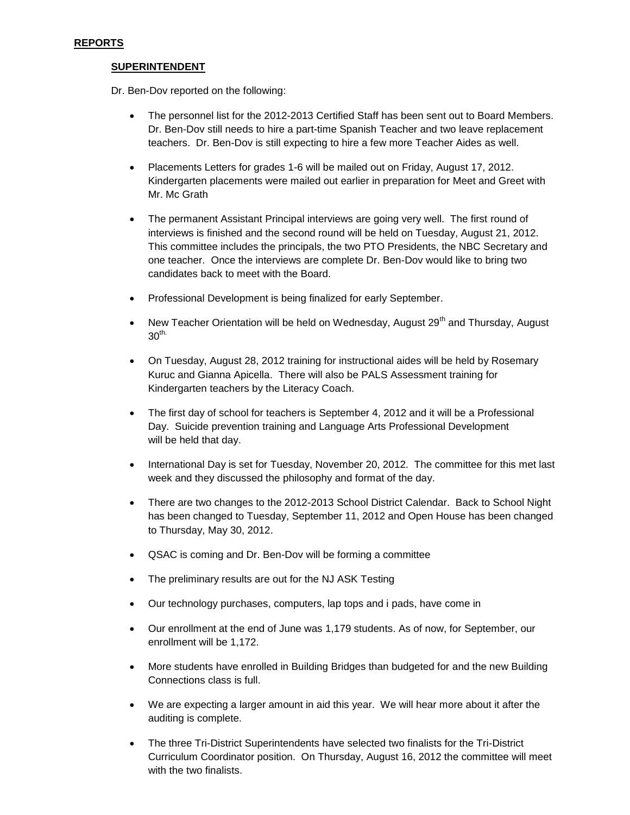## **SUPERINTENDENT**

Dr. Ben-Dov reported on the following:

- The personnel list for the 2012-2013 Certified Staff has been sent out to Board Members. Dr. Ben-Dov still needs to hire a part-time Spanish Teacher and two leave replacement teachers. Dr. Ben-Dov is still expecting to hire a few more Teacher Aides as well.
- Placements Letters for grades 1-6 will be mailed out on Friday, August 17, 2012. Kindergarten placements were mailed out earlier in preparation for Meet and Greet with Mr. Mc Grath
- The permanent Assistant Principal interviews are going very well. The first round of interviews is finished and the second round will be held on Tuesday, August 21, 2012. This committee includes the principals, the two PTO Presidents, the NBC Secretary and one teacher. Once the interviews are complete Dr. Ben-Dov would like to bring two candidates back to meet with the Board.
- Professional Development is being finalized for early September.
- New Teacher Orientation will be held on Wednesday, August  $29<sup>th</sup>$  and Thursday, August  $30<sup>th</sup>$
- On Tuesday, August 28, 2012 training for instructional aides will be held by Rosemary Kuruc and Gianna Apicella. There will also be PALS Assessment training for Kindergarten teachers by the Literacy Coach.
- The first day of school for teachers is September 4, 2012 and it will be a Professional Day. Suicide prevention training and Language Arts Professional Development will be held that day.
- International Day is set for Tuesday, November 20, 2012. The committee for this met last week and they discussed the philosophy and format of the day.
- There are two changes to the 2012-2013 School District Calendar. Back to School Night has been changed to Tuesday, September 11, 2012 and Open House has been changed to Thursday, May 30, 2012.
- QSAC is coming and Dr. Ben-Dov will be forming a committee
- The preliminary results are out for the NJ ASK Testing
- Our technology purchases, computers, lap tops and i pads, have come in
- Our enrollment at the end of June was 1,179 students. As of now, for September, our enrollment will be 1,172.
- More students have enrolled in Building Bridges than budgeted for and the new Building Connections class is full.
- We are expecting a larger amount in aid this year. We will hear more about it after the auditing is complete.
- The three Tri-District Superintendents have selected two finalists for the Tri-District Curriculum Coordinator position. On Thursday, August 16, 2012 the committee will meet with the two finalists.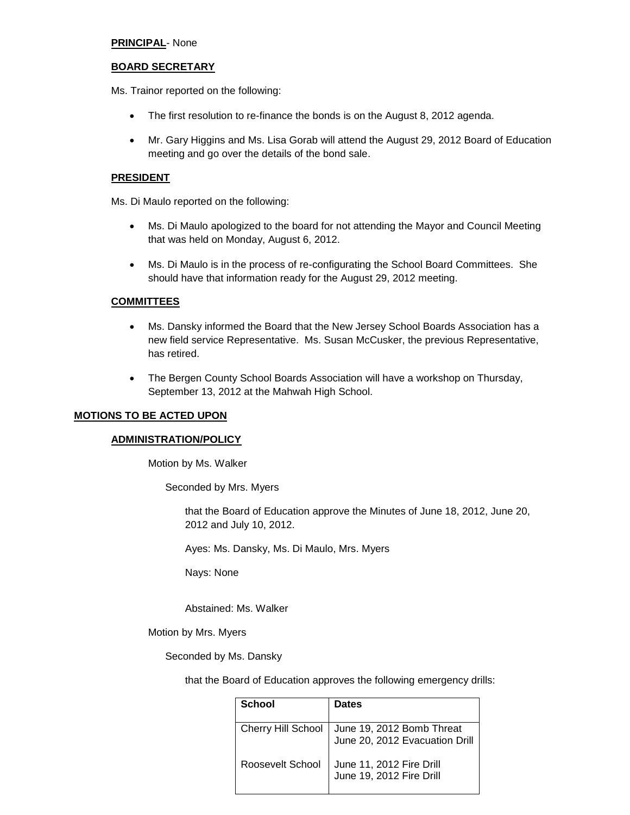### **PRINCIPAL**- None

#### **BOARD SECRETARY**

Ms. Trainor reported on the following:

- The first resolution to re-finance the bonds is on the August 8, 2012 agenda.
- Mr. Gary Higgins and Ms. Lisa Gorab will attend the August 29, 2012 Board of Education meeting and go over the details of the bond sale.

#### **PRESIDENT**

Ms. Di Maulo reported on the following:

- Ms. Di Maulo apologized to the board for not attending the Mayor and Council Meeting that was held on Monday, August 6, 2012.
- Ms. Di Maulo is in the process of re-configurating the School Board Committees. She should have that information ready for the August 29, 2012 meeting.

#### **COMMITTEES**

- Ms. Dansky informed the Board that the New Jersey School Boards Association has a new field service Representative. Ms. Susan McCusker, the previous Representative, has retired.
- The Bergen County School Boards Association will have a workshop on Thursday, September 13, 2012 at the Mahwah High School.

#### **MOTIONS TO BE ACTED UPON**

#### **ADMINISTRATION/POLICY**

Motion by Ms. Walker

Seconded by Mrs. Myers

that the Board of Education approve the Minutes of June 18, 2012, June 20, 2012 and July 10, 2012.

Ayes: Ms. Dansky, Ms. Di Maulo, Mrs. Myers

Nays: None

Abstained: Ms. Walker

Motion by Mrs. Myers

Seconded by Ms. Dansky

that the Board of Education approves the following emergency drills:

| School                    | <b>Dates</b>                                                |
|---------------------------|-------------------------------------------------------------|
| <b>Cherry Hill School</b> | June 19, 2012 Bomb Threat<br>June 20, 2012 Evacuation Drill |
| Roosevelt School          | June 11, 2012 Fire Drill<br>June 19, 2012 Fire Drill        |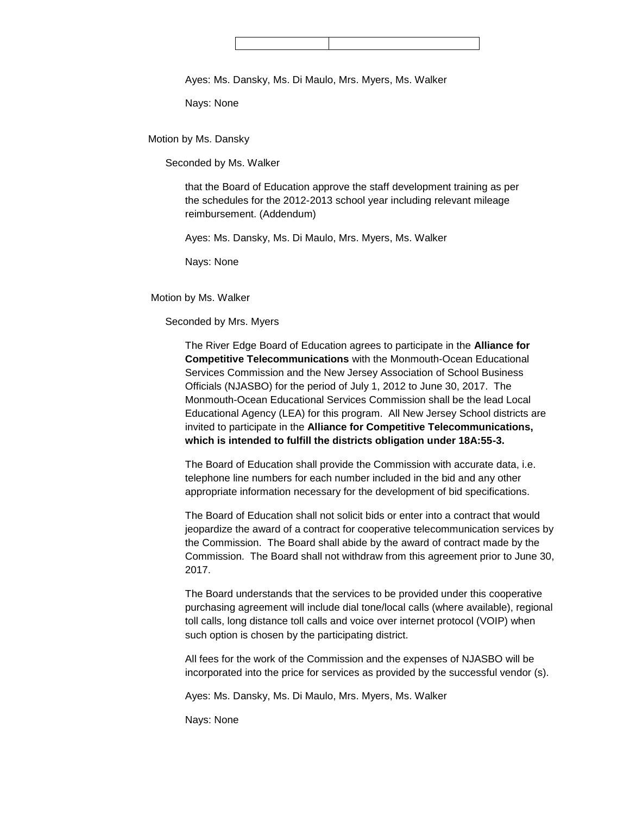Ayes: Ms. Dansky, Ms. Di Maulo, Mrs. Myers, Ms. Walker

Nays: None

Motion by Ms. Dansky

Seconded by Ms. Walker

that the Board of Education approve the staff development training as per the schedules for the 2012-2013 school year including relevant mileage reimbursement. (Addendum)

Ayes: Ms. Dansky, Ms. Di Maulo, Mrs. Myers, Ms. Walker

Nays: None

### Motion by Ms. Walker

### Seconded by Mrs. Myers

The River Edge Board of Education agrees to participate in the **Alliance for Competitive Telecommunications** with the Monmouth-Ocean Educational Services Commission and the New Jersey Association of School Business Officials (NJASBO) for the period of July 1, 2012 to June 30, 2017. The Monmouth-Ocean Educational Services Commission shall be the lead Local Educational Agency (LEA) for this program. All New Jersey School districts are invited to participate in the **Alliance for Competitive Telecommunications, which is intended to fulfill the districts obligation under 18A:55-3.**

The Board of Education shall provide the Commission with accurate data, i.e. telephone line numbers for each number included in the bid and any other appropriate information necessary for the development of bid specifications.

The Board of Education shall not solicit bids or enter into a contract that would jeopardize the award of a contract for cooperative telecommunication services by the Commission. The Board shall abide by the award of contract made by the Commission. The Board shall not withdraw from this agreement prior to June 30, 2017.

The Board understands that the services to be provided under this cooperative purchasing agreement will include dial tone/local calls (where available), regional toll calls, long distance toll calls and voice over internet protocol (VOIP) when such option is chosen by the participating district.

All fees for the work of the Commission and the expenses of NJASBO will be incorporated into the price for services as provided by the successful vendor (s).

Ayes: Ms. Dansky, Ms. Di Maulo, Mrs. Myers, Ms. Walker

Nays: None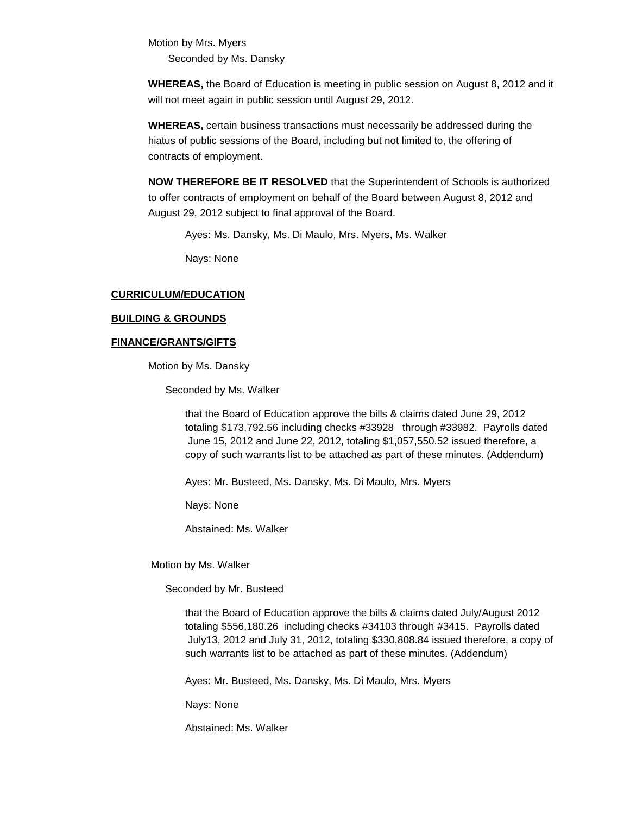Motion by Mrs. Myers Seconded by Ms. Dansky

**WHEREAS,** the Board of Education is meeting in public session on August 8, 2012 and it will not meet again in public session until August 29, 2012.

**WHEREAS,** certain business transactions must necessarily be addressed during the hiatus of public sessions of the Board, including but not limited to, the offering of contracts of employment.

**NOW THEREFORE BE IT RESOLVED** that the Superintendent of Schools is authorized to offer contracts of employment on behalf of the Board between August 8, 2012 and August 29, 2012 subject to final approval of the Board.

Ayes: Ms. Dansky, Ms. Di Maulo, Mrs. Myers, Ms. Walker

Nays: None

### **CURRICULUM/EDUCATION**

#### **BUILDING & GROUNDS**

#### **FINANCE/GRANTS/GIFTS**

Motion by Ms. Dansky

Seconded by Ms. Walker

that the Board of Education approve the bills & claims dated June 29, 2012 totaling \$173,792.56 including checks #33928 through #33982. Payrolls dated June 15, 2012 and June 22, 2012, totaling \$1,057,550.52 issued therefore, a copy of such warrants list to be attached as part of these minutes. (Addendum)

Ayes: Mr. Busteed, Ms. Dansky, Ms. Di Maulo, Mrs. Myers

Nays: None

Abstained: Ms. Walker

Motion by Ms. Walker

Seconded by Mr. Busteed

that the Board of Education approve the bills & claims dated July/August 2012 totaling \$556,180.26 including checks #34103 through #3415. Payrolls dated July13, 2012 and July 31, 2012, totaling \$330,808.84 issued therefore, a copy of such warrants list to be attached as part of these minutes. (Addendum)

Ayes: Mr. Busteed, Ms. Dansky, Ms. Di Maulo, Mrs. Myers

Nays: None

Abstained: Ms. Walker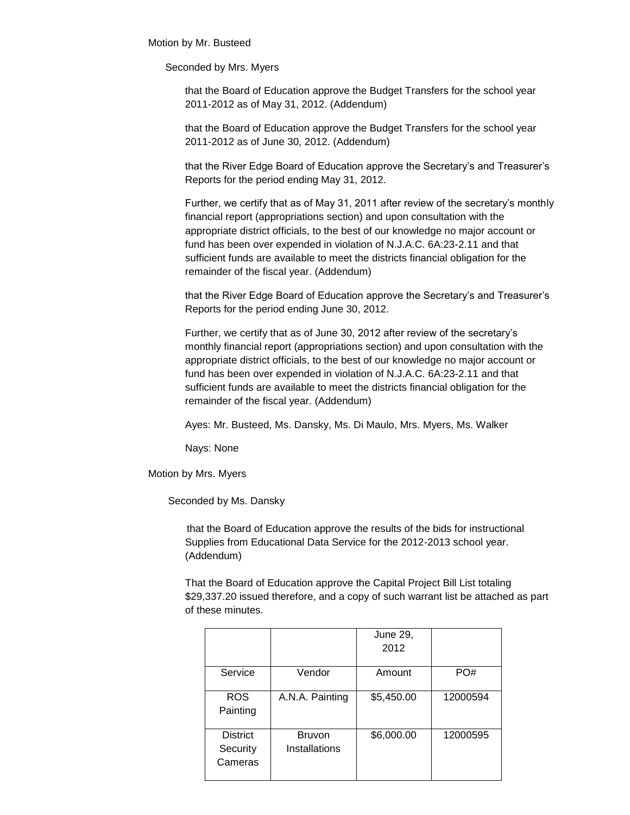Motion by Mr. Busteed

Seconded by Mrs. Myers

that the Board of Education approve the Budget Transfers for the school year 2011-2012 as of May 31, 2012. (Addendum)

that the Board of Education approve the Budget Transfers for the school year 2011-2012 as of June 30, 2012. (Addendum)

that the River Edge Board of Education approve the Secretary's and Treasurer's Reports for the period ending May 31, 2012.

Further, we certify that as of May 31, 2011 after review of the secretary's monthly financial report (appropriations section) and upon consultation with the appropriate district officials, to the best of our knowledge no major account or fund has been over expended in violation of N.J.A.C. 6A:23-2.11 and that sufficient funds are available to meet the districts financial obligation for the remainder of the fiscal year. (Addendum)

that the River Edge Board of Education approve the Secretary's and Treasurer's Reports for the period ending June 30, 2012.

Further, we certify that as of June 30, 2012 after review of the secretary's monthly financial report (appropriations section) and upon consultation with the appropriate district officials, to the best of our knowledge no major account or fund has been over expended in violation of N.J.A.C. 6A:23-2.11 and that sufficient funds are available to meet the districts financial obligation for the remainder of the fiscal year. (Addendum)

Ayes: Mr. Busteed, Ms. Dansky, Ms. Di Maulo, Mrs. Myers, Ms. Walker

Nays: None

Motion by Mrs. Myers

Seconded by Ms. Dansky

 that the Board of Education approve the results of the bids for instructional Supplies from Educational Data Service for the 2012-2013 school year. (Addendum)

That the Board of Education approve the Capital Project Bill List totaling \$29,337.20 issued therefore, and a copy of such warrant list be attached as part of these minutes.

|                                        |                                | June 29,<br>2012 |          |
|----------------------------------------|--------------------------------|------------------|----------|
| Service                                | Vendor                         | Amount           | PO#      |
| <b>ROS</b><br>Painting                 | A.N.A. Painting                | \$5,450.00       | 12000594 |
| <b>District</b><br>Security<br>Cameras | <b>Bruvon</b><br>Installations | \$6,000.00       | 12000595 |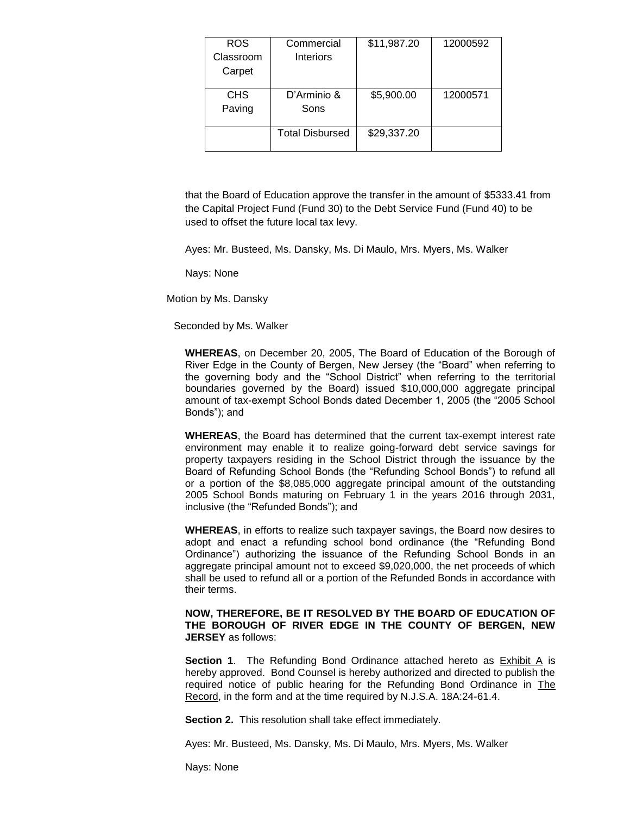| <b>ROS</b> | Commercial             | \$11,987.20 | 12000592 |
|------------|------------------------|-------------|----------|
| Classroom  | <b>Interiors</b>       |             |          |
| Carpet     |                        |             |          |
|            |                        |             |          |
| <b>CHS</b> | D'Arminio &            | \$5,900.00  | 12000571 |
| Paving     | Sons                   |             |          |
|            | <b>Total Disbursed</b> | \$29,337.20 |          |
|            |                        |             |          |

that the Board of Education approve the transfer in the amount of \$5333.41 from the Capital Project Fund (Fund 30) to the Debt Service Fund (Fund 40) to be used to offset the future local tax levy.

Ayes: Mr. Busteed, Ms. Dansky, Ms. Di Maulo, Mrs. Myers, Ms. Walker

Nays: None

Motion by Ms. Dansky

Seconded by Ms. Walker

**WHEREAS**, on December 20, 2005, The Board of Education of the Borough of River Edge in the County of Bergen, New Jersey (the "Board" when referring to the governing body and the "School District" when referring to the territorial boundaries governed by the Board) issued \$10,000,000 aggregate principal amount of tax-exempt School Bonds dated December 1, 2005 (the "2005 School Bonds"); and

**WHEREAS**, the Board has determined that the current tax-exempt interest rate environment may enable it to realize going-forward debt service savings for property taxpayers residing in the School District through the issuance by the Board of Refunding School Bonds (the "Refunding School Bonds") to refund all or a portion of the \$8,085,000 aggregate principal amount of the outstanding 2005 School Bonds maturing on February 1 in the years 2016 through 2031, inclusive (the "Refunded Bonds"); and

**WHEREAS**, in efforts to realize such taxpayer savings, the Board now desires to adopt and enact a refunding school bond ordinance (the "Refunding Bond Ordinance") authorizing the issuance of the Refunding School Bonds in an aggregate principal amount not to exceed \$9,020,000, the net proceeds of which shall be used to refund all or a portion of the Refunded Bonds in accordance with their terms.

#### **NOW, THEREFORE, BE IT RESOLVED BY THE BOARD OF EDUCATION OF THE BOROUGH OF RIVER EDGE IN THE COUNTY OF BERGEN, NEW JERSEY** as follows:

**Section 1.** The Refunding Bond Ordinance attached hereto as **Exhibit A** is hereby approved. Bond Counsel is hereby authorized and directed to publish the required notice of public hearing for the Refunding Bond Ordinance in The Record, in the form and at the time required by N.J.S.A. 18A:24-61.4.

**Section 2.** This resolution shall take effect immediately.

Ayes: Mr. Busteed, Ms. Dansky, Ms. Di Maulo, Mrs. Myers, Ms. Walker

Nays: None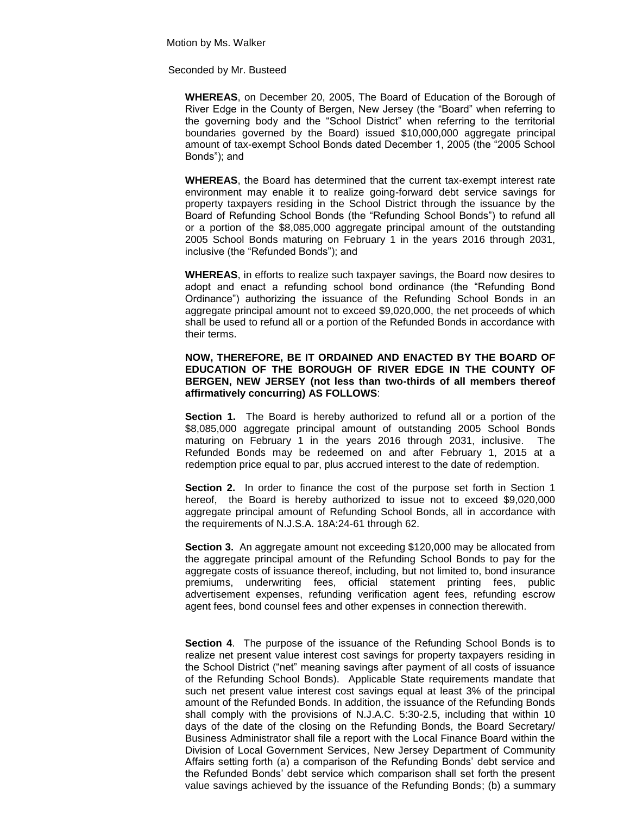Motion by Ms. Walker

Seconded by Mr. Busteed

**WHEREAS**, on December 20, 2005, The Board of Education of the Borough of River Edge in the County of Bergen, New Jersey (the "Board" when referring to the governing body and the "School District" when referring to the territorial boundaries governed by the Board) issued \$10,000,000 aggregate principal amount of tax-exempt School Bonds dated December 1, 2005 (the "2005 School Bonds"); and

**WHEREAS**, the Board has determined that the current tax-exempt interest rate environment may enable it to realize going-forward debt service savings for property taxpayers residing in the School District through the issuance by the Board of Refunding School Bonds (the "Refunding School Bonds") to refund all or a portion of the \$8,085,000 aggregate principal amount of the outstanding 2005 School Bonds maturing on February 1 in the years 2016 through 2031, inclusive (the "Refunded Bonds"); and

**WHEREAS**, in efforts to realize such taxpayer savings, the Board now desires to adopt and enact a refunding school bond ordinance (the "Refunding Bond Ordinance") authorizing the issuance of the Refunding School Bonds in an aggregate principal amount not to exceed \$9,020,000, the net proceeds of which shall be used to refund all or a portion of the Refunded Bonds in accordance with their terms.

### **NOW, THEREFORE, BE IT ORDAINED AND ENACTED BY THE BOARD OF EDUCATION OF THE BOROUGH OF RIVER EDGE IN THE COUNTY OF BERGEN, NEW JERSEY (not less than two-thirds of all members thereof affirmatively concurring) AS FOLLOWS**:

**Section 1.** The Board is hereby authorized to refund all or a portion of the \$8,085,000 aggregate principal amount of outstanding 2005 School Bonds maturing on February 1 in the years 2016 through 2031, inclusive. The Refunded Bonds may be redeemed on and after February 1, 2015 at a redemption price equal to par, plus accrued interest to the date of redemption.

**Section 2.** In order to finance the cost of the purpose set forth in Section 1 hereof, the Board is hereby authorized to issue not to exceed \$9,020,000 aggregate principal amount of Refunding School Bonds, all in accordance with the requirements of N.J.S.A. 18A:24-61 through 62.

**Section 3.** An aggregate amount not exceeding \$120,000 may be allocated from the aggregate principal amount of the Refunding School Bonds to pay for the aggregate costs of issuance thereof, including, but not limited to, bond insurance premiums, underwriting fees, official statement printing fees, public advertisement expenses, refunding verification agent fees, refunding escrow agent fees, bond counsel fees and other expenses in connection therewith.

**Section 4**. The purpose of the issuance of the Refunding School Bonds is to realize net present value interest cost savings for property taxpayers residing in the School District ("net" meaning savings after payment of all costs of issuance of the Refunding School Bonds). Applicable State requirements mandate that such net present value interest cost savings equal at least 3% of the principal amount of the Refunded Bonds. In addition, the issuance of the Refunding Bonds shall comply with the provisions of N.J.A.C. 5:30-2.5, including that within 10 days of the date of the closing on the Refunding Bonds, the Board Secretary/ Business Administrator shall file a report with the Local Finance Board within the Division of Local Government Services, New Jersey Department of Community Affairs setting forth (a) a comparison of the Refunding Bonds' debt service and the Refunded Bonds' debt service which comparison shall set forth the present value savings achieved by the issuance of the Refunding Bonds; (b) a summary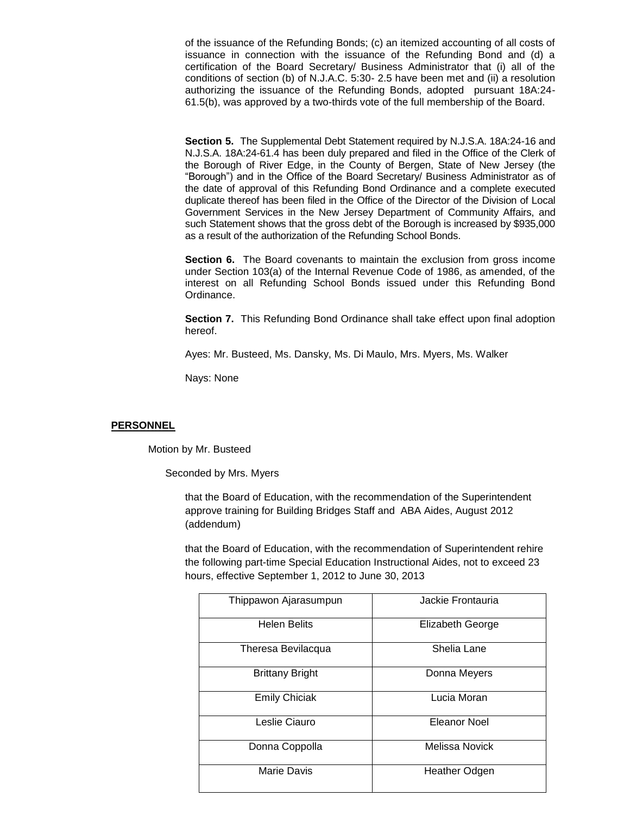of the issuance of the Refunding Bonds; (c) an itemized accounting of all costs of issuance in connection with the issuance of the Refunding Bond and (d) a certification of the Board Secretary/ Business Administrator that (i) all of the conditions of section (b) of N.J.A.C. 5:30- 2.5 have been met and (ii) a resolution authorizing the issuance of the Refunding Bonds, adopted pursuant 18A:24- 61.5(b), was approved by a two-thirds vote of the full membership of the Board.

**Section 5.** The Supplemental Debt Statement required by N.J.S.A. 18A:24-16 and N.J.S.A. 18A:24-61.4 has been duly prepared and filed in the Office of the Clerk of the Borough of River Edge, in the County of Bergen, State of New Jersey (the "Borough") and in the Office of the Board Secretary/ Business Administrator as of the date of approval of this Refunding Bond Ordinance and a complete executed duplicate thereof has been filed in the Office of the Director of the Division of Local Government Services in the New Jersey Department of Community Affairs, and such Statement shows that the gross debt of the Borough is increased by \$935,000 as a result of the authorization of the Refunding School Bonds.

**Section 6.** The Board covenants to maintain the exclusion from gross income under Section 103(a) of the Internal Revenue Code of 1986, as amended, of the interest on all Refunding School Bonds issued under this Refunding Bond Ordinance.

**Section 7.** This Refunding Bond Ordinance shall take effect upon final adoption hereof.

Ayes: Mr. Busteed, Ms. Dansky, Ms. Di Maulo, Mrs. Myers, Ms. Walker

Nays: None

#### **PERSONNEL**

Motion by Mr. Busteed

Seconded by Mrs. Myers

that the Board of Education, with the recommendation of the Superintendent approve training for Building Bridges Staff and ABA Aides, August 2012 (addendum)

that the Board of Education, with the recommendation of Superintendent rehire the following part-time Special Education Instructional Aides, not to exceed 23 hours, effective September 1, 2012 to June 30, 2013

| Thippawon Ajarasumpun  | Jackie Frontauria     |  |
|------------------------|-----------------------|--|
| <b>Helen Belits</b>    | Elizabeth George      |  |
| Theresa Bevilacqua     | Shelia Lane           |  |
| <b>Brittany Bright</b> | Donna Meyers          |  |
| <b>Emily Chiciak</b>   | Lucia Moran           |  |
| Leslie Ciauro          | Eleanor Noel          |  |
| Donna Coppolla         | <b>Melissa Novick</b> |  |
| Marie Davis            | <b>Heather Odgen</b>  |  |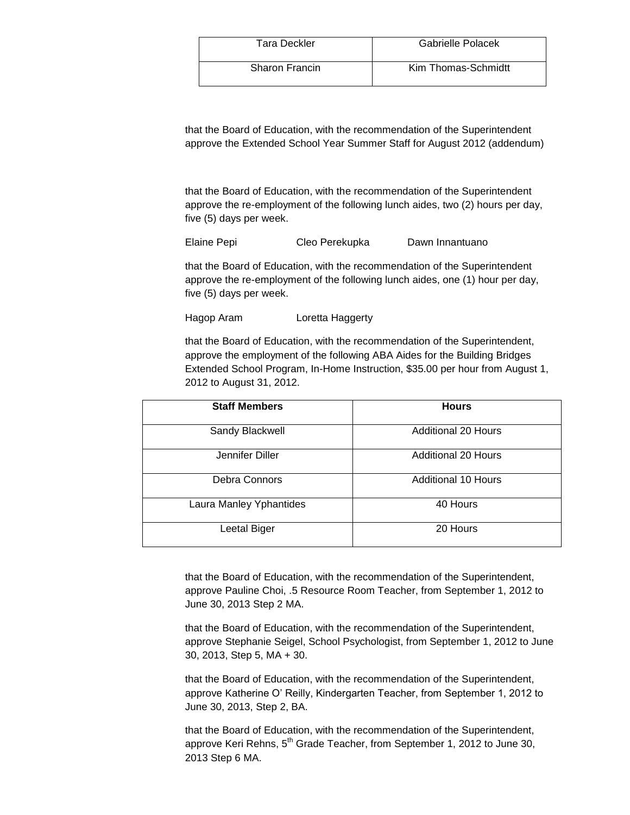| <b>Tara Deckler</b>   | Gabrielle Polacek   |
|-----------------------|---------------------|
| <b>Sharon Francin</b> | Kim Thomas-Schmidtt |

that the Board of Education, with the recommendation of the Superintendent approve the Extended School Year Summer Staff for August 2012 (addendum)

that the Board of Education, with the recommendation of the Superintendent approve the re-employment of the following lunch aides, two (2) hours per day, five (5) days per week.

Elaine Pepi Cleo Perekupka Dawn Innantuano

that the Board of Education, with the recommendation of the Superintendent approve the re-employment of the following lunch aides, one (1) hour per day, five (5) days per week.

Hagop Aram Loretta Haggerty

that the Board of Education, with the recommendation of the Superintendent, approve the employment of the following ABA Aides for the Building Bridges Extended School Program, In-Home Instruction, \$35.00 per hour from August 1, 2012 to August 31, 2012.

| <b>Staff Members</b>    | <b>Hours</b>               |
|-------------------------|----------------------------|
| Sandy Blackwell         | <b>Additional 20 Hours</b> |
| Jennifer Diller         | Additional 20 Hours        |
| Debra Connors           | <b>Additional 10 Hours</b> |
| Laura Manley Yphantides | 40 Hours                   |
| Leetal Biger            | 20 Hours                   |

that the Board of Education, with the recommendation of the Superintendent, approve Pauline Choi, .5 Resource Room Teacher, from September 1, 2012 to June 30, 2013 Step 2 MA.

that the Board of Education, with the recommendation of the Superintendent, approve Stephanie Seigel, School Psychologist, from September 1, 2012 to June 30, 2013, Step 5, MA + 30.

that the Board of Education, with the recommendation of the Superintendent, approve Katherine O' Reilly, Kindergarten Teacher, from September 1, 2012 to June 30, 2013, Step 2, BA.

that the Board of Education, with the recommendation of the Superintendent, approve Keri Rehns, 5<sup>th</sup> Grade Teacher, from September 1, 2012 to June 30, 2013 Step 6 MA.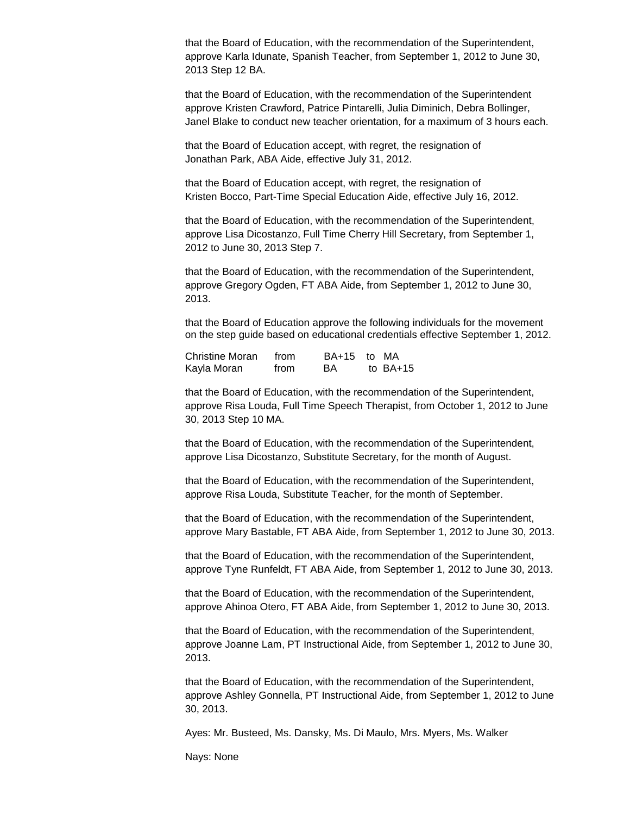that the Board of Education, with the recommendation of the Superintendent, approve Karla Idunate, Spanish Teacher, from September 1, 2012 to June 30, 2013 Step 12 BA.

that the Board of Education, with the recommendation of the Superintendent approve Kristen Crawford, Patrice Pintarelli, Julia Diminich, Debra Bollinger, Janel Blake to conduct new teacher orientation, for a maximum of 3 hours each.

that the Board of Education accept, with regret, the resignation of Jonathan Park, ABA Aide, effective July 31, 2012.

that the Board of Education accept, with regret, the resignation of Kristen Bocco, Part-Time Special Education Aide, effective July 16, 2012.

that the Board of Education, with the recommendation of the Superintendent, approve Lisa Dicostanzo, Full Time Cherry Hill Secretary, from September 1, 2012 to June 30, 2013 Step 7.

that the Board of Education, with the recommendation of the Superintendent, approve Gregory Ogden, FT ABA Aide, from September 1, 2012 to June 30, 2013.

that the Board of Education approve the following individuals for the movement on the step guide based on educational credentials effective September 1, 2012.

| Christine Moran | from |    | BA+15 to MA |
|-----------------|------|----|-------------|
| Kayla Moran     | from | BA | to $BA+15$  |

that the Board of Education, with the recommendation of the Superintendent, approve Risa Louda, Full Time Speech Therapist, from October 1, 2012 to June 30, 2013 Step 10 MA.

that the Board of Education, with the recommendation of the Superintendent, approve Lisa Dicostanzo, Substitute Secretary, for the month of August.

that the Board of Education, with the recommendation of the Superintendent, approve Risa Louda, Substitute Teacher, for the month of September.

that the Board of Education, with the recommendation of the Superintendent, approve Mary Bastable, FT ABA Aide, from September 1, 2012 to June 30, 2013.

that the Board of Education, with the recommendation of the Superintendent, approve Tyne Runfeldt, FT ABA Aide, from September 1, 2012 to June 30, 2013.

that the Board of Education, with the recommendation of the Superintendent, approve Ahinoa Otero, FT ABA Aide, from September 1, 2012 to June 30, 2013.

that the Board of Education, with the recommendation of the Superintendent, approve Joanne Lam, PT Instructional Aide, from September 1, 2012 to June 30, 2013.

that the Board of Education, with the recommendation of the Superintendent, approve Ashley Gonnella, PT Instructional Aide, from September 1, 2012 to June 30, 2013.

Ayes: Mr. Busteed, Ms. Dansky, Ms. Di Maulo, Mrs. Myers, Ms. Walker

Nays: None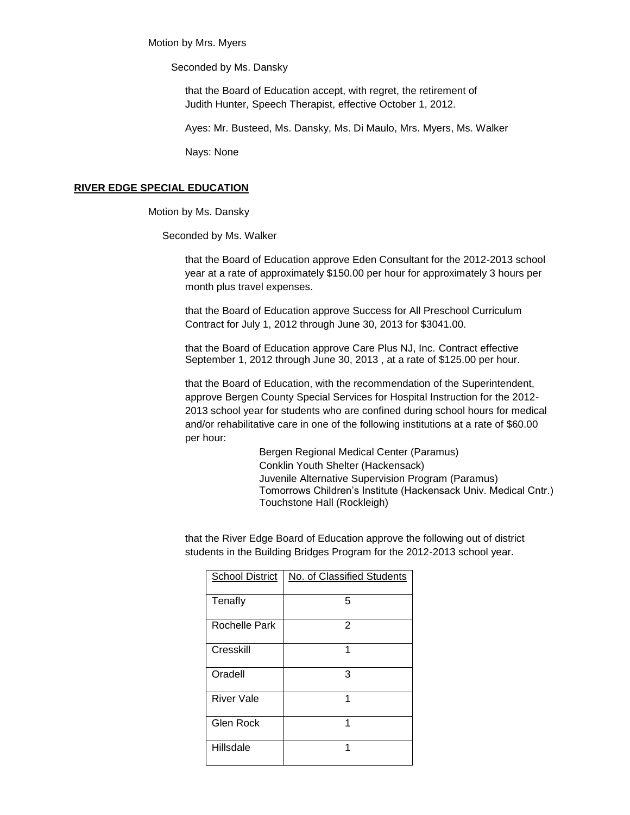Motion by Mrs. Myers

Seconded by Ms. Dansky

that the Board of Education accept, with regret, the retirement of Judith Hunter, Speech Therapist, effective October 1, 2012.

Ayes: Mr. Busteed, Ms. Dansky, Ms. Di Maulo, Mrs. Myers, Ms. Walker

Nays: None

#### **RIVER EDGE SPECIAL EDUCATION**

Motion by Ms. Dansky

Seconded by Ms. Walker

that the Board of Education approve Eden Consultant for the 2012-2013 school year at a rate of approximately \$150.00 per hour for approximately 3 hours per month plus travel expenses.

that the Board of Education approve Success for All Preschool Curriculum Contract for July 1, 2012 through June 30, 2013 for \$3041.00.

that the Board of Education approve Care Plus NJ, Inc. Contract effective September 1, 2012 through June 30, 2013 , at a rate of \$125.00 per hour.

that the Board of Education, with the recommendation of the Superintendent, approve Bergen County Special Services for Hospital Instruction for the 2012- 2013 school year for students who are confined during school hours for medical and/or rehabilitative care in one of the following institutions at a rate of \$60.00 per hour:

> Bergen Regional Medical Center (Paramus) Conklin Youth Shelter (Hackensack) Juvenile Alternative Supervision Program (Paramus) Tomorrows Children's Institute (Hackensack Univ. Medical Cntr.) Touchstone Hall (Rockleigh)

that the River Edge Board of Education approve the following out of district students in the Building Bridges Program for the 2012-2013 school year.

| <b>School District</b> | No. of Classified Students |
|------------------------|----------------------------|
| Tenafly                | 5                          |
| Rochelle Park          | 2                          |
| Cresskill              | 1                          |
| Oradell                | 3                          |
| <b>River Vale</b>      | 1                          |
| <b>Glen Rock</b>       | 1                          |
| Hillsdale              | 1                          |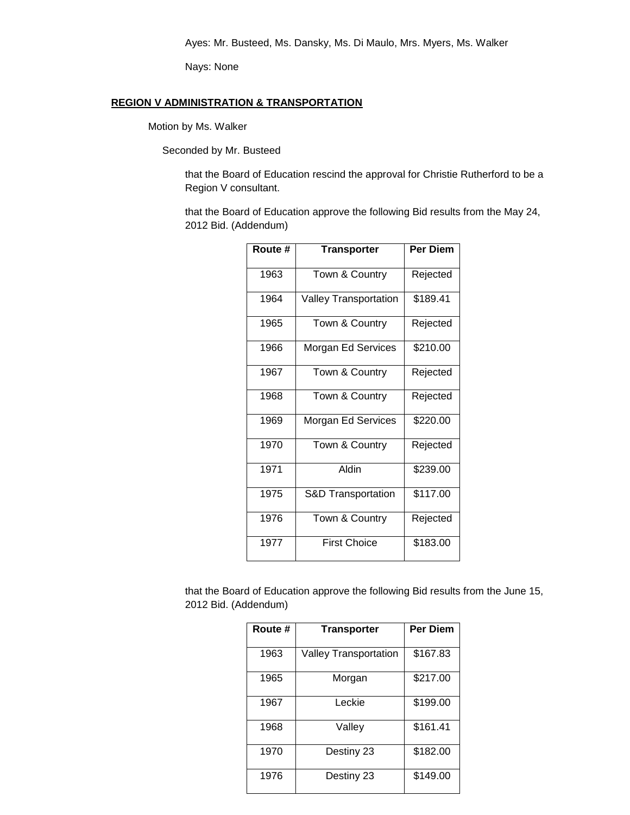Nays: None

# **REGION V ADMINISTRATION & TRANSPORTATION**

Motion by Ms. Walker

Seconded by Mr. Busteed

that the Board of Education rescind the approval for Christie Rutherford to be a Region V consultant.

that the Board of Education approve the following Bid results from the May 24, 2012 Bid. (Addendum)

| Route # | <b>Transporter</b>            | Per Diem |
|---------|-------------------------------|----------|
| 1963    | Town & Country                | Rejected |
| 1964    | <b>Valley Transportation</b>  | \$189.41 |
| 1965    | Town & Country                | Rejected |
| 1966    | Morgan Ed Services            | \$210.00 |
| 1967    | Town & Country                | Rejected |
| 1968    | Town & Country                | Rejected |
| 1969    | Morgan Ed Services            | \$220.00 |
| 1970    | Town & Country                | Rejected |
| 1971    | Aldin                         | \$239.00 |
| 1975    | <b>S&amp;D Transportation</b> | \$117.00 |
| 1976    | Town & Country                | Rejected |
| 1977    | <b>First Choice</b>           | \$183.00 |

that the Board of Education approve the following Bid results from the June 15, 2012 Bid. (Addendum)

| Route # | <b>Transporter</b>           | <b>Per Diem</b> |
|---------|------------------------------|-----------------|
| 1963    | <b>Valley Transportation</b> | \$167.83        |
| 1965    | Morgan                       | \$217.00        |
| 1967    | Leckie                       | \$199.00        |
| 1968    | Valley                       | \$161.41        |
| 1970    | Destiny 23                   | \$182.00        |
| 1976    | Destiny 23                   | \$149.00        |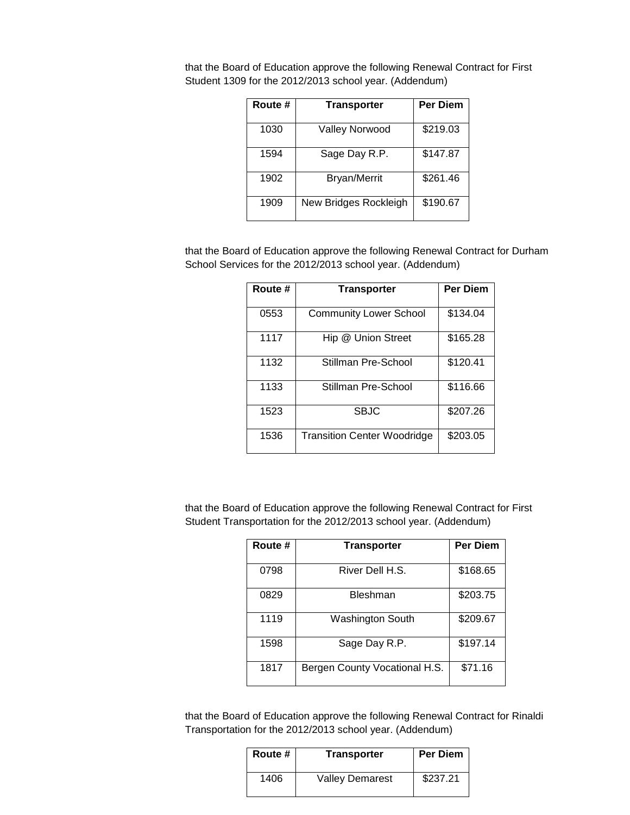| Route # | <b>Transporter</b>    | <b>Per Diem</b> |
|---------|-----------------------|-----------------|
| 1030    | Valley Norwood        | \$219.03        |
| 1594    | Sage Day R.P.         | \$147.87        |
| 1902    | <b>Bryan/Merrit</b>   | \$261.46        |
| 1909    | New Bridges Rockleigh | \$190.67        |

that the Board of Education approve the following Renewal Contract for First Student 1309 for the 2012/2013 school year. (Addendum)

that the Board of Education approve the following Renewal Contract for Durham School Services for the 2012/2013 school year. (Addendum)

| Route # | <b>Transporter</b>                 | <b>Per Diem</b> |
|---------|------------------------------------|-----------------|
| 0553    | <b>Community Lower School</b>      | \$134.04        |
| 1117    | Hip @ Union Street                 | \$165.28        |
| 1132    | Stillman Pre-School                | \$120.41        |
| 1133    | Stillman Pre-School                | \$116.66        |
| 1523    | SBJC                               | \$207.26        |
| 1536    | <b>Transition Center Woodridge</b> | \$203.05        |

that the Board of Education approve the following Renewal Contract for First Student Transportation for the 2012/2013 school year. (Addendum)

| Route # | <b>Transporter</b>            | <b>Per Diem</b> |
|---------|-------------------------------|-----------------|
| 0798    | River Dell H.S.               | \$168.65        |
| 0829    | Bleshman                      | \$203.75        |
| 1119    | Washington South              | \$209.67        |
| 1598    | Sage Day R.P.                 | \$197.14        |
| 1817    | Bergen County Vocational H.S. | \$71.16         |

that the Board of Education approve the following Renewal Contract for Rinaldi Transportation for the 2012/2013 school year. (Addendum)

| Route # | <b>Transporter</b>     | <b>Per Diem</b> |
|---------|------------------------|-----------------|
| 1406    | <b>Valley Demarest</b> | \$237.21        |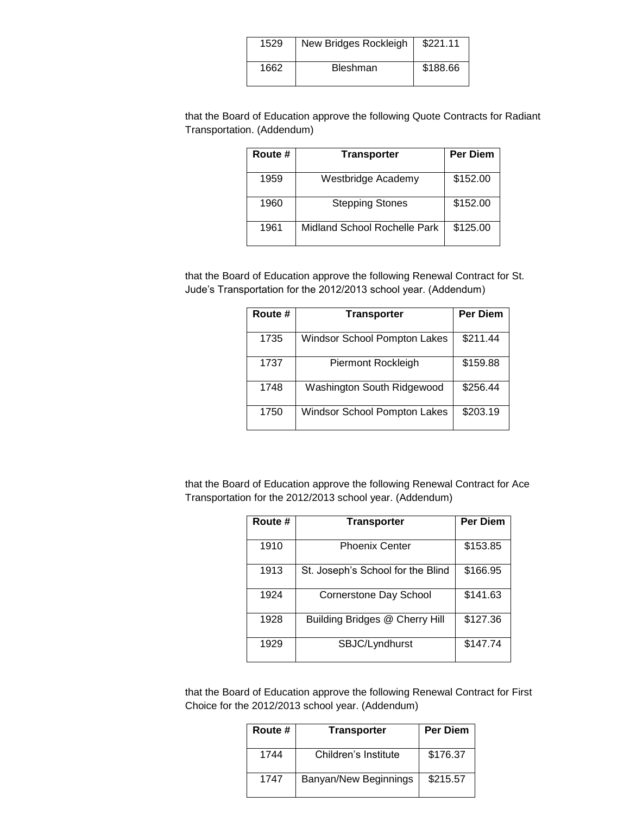| 1529 | New Bridges Rockleigh | \$221.11 |
|------|-----------------------|----------|
| 1662 | <b>Bleshman</b>       | \$188.66 |

that the Board of Education approve the following Quote Contracts for Radiant Transportation. (Addendum)

| Route # | <b>Transporter</b>           | <b>Per Diem</b> |
|---------|------------------------------|-----------------|
| 1959    | Westbridge Academy           | \$152.00        |
| 1960    | <b>Stepping Stones</b>       | \$152.00        |
| 1961    | Midland School Rochelle Park | \$125.00        |

that the Board of Education approve the following Renewal Contract for St. Jude's Transportation for the 2012/2013 school year. (Addendum)

| Route # | <b>Transporter</b>                  | <b>Per Diem</b> |
|---------|-------------------------------------|-----------------|
| 1735    | <b>Windsor School Pompton Lakes</b> | \$211.44        |
| 1737    | Piermont Rockleigh                  | \$159.88        |
| 1748    | Washington South Ridgewood          | \$256.44        |
| 1750    | <b>Windsor School Pompton Lakes</b> | \$203.19        |

that the Board of Education approve the following Renewal Contract for Ace Transportation for the 2012/2013 school year. (Addendum)

| Route # | <b>Transporter</b>                | Per Diem |
|---------|-----------------------------------|----------|
| 1910    | <b>Phoenix Center</b>             | \$153.85 |
|         |                                   |          |
| 1913    | St. Joseph's School for the Blind | \$166.95 |
| 1924    | Cornerstone Day School            | \$141.63 |
| 1928    | Building Bridges @ Cherry Hill    | \$127.36 |
| 1929    | SBJC/Lyndhurst                    | \$147.74 |

that the Board of Education approve the following Renewal Contract for First Choice for the 2012/2013 school year. (Addendum)

| Route # | <b>Transporter</b>    | <b>Per Diem</b> |
|---------|-----------------------|-----------------|
| 1744    | Children's Institute  | \$176.37        |
| 1747    | Banyan/New Beginnings | \$215.57        |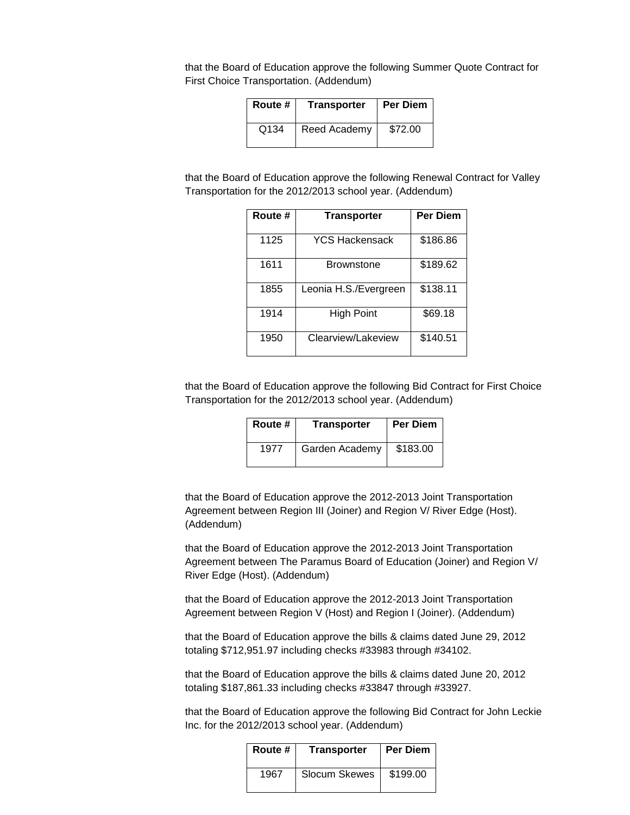that the Board of Education approve the following Summer Quote Contract for First Choice Transportation. (Addendum)

| Route #          | <b>Transporter</b> | <b>Per Diem</b> |
|------------------|--------------------|-----------------|
| Q <sub>134</sub> | Reed Academy       | \$72.00         |

that the Board of Education approve the following Renewal Contract for Valley Transportation for the 2012/2013 school year. (Addendum)

| Route # | <b>Transporter</b>    | <b>Per Diem</b> |
|---------|-----------------------|-----------------|
| 1125    | YCS Hackensack        | \$186.86        |
| 1611    | <b>Brownstone</b>     | \$189.62        |
| 1855    | Leonia H.S./Evergreen | \$138.11        |
| 1914    | <b>High Point</b>     | \$69.18         |
| 1950    | Clearview/Lakeview    | \$140.51        |

that the Board of Education approve the following Bid Contract for First Choice Transportation for the 2012/2013 school year. (Addendum)

| Route # | <b>Transporter</b> | <b>Per Diem</b> |
|---------|--------------------|-----------------|
| 1977    | Garden Academy     | \$183.00        |

that the Board of Education approve the 2012-2013 Joint Transportation Agreement between Region III (Joiner) and Region V/ River Edge (Host). (Addendum)

that the Board of Education approve the 2012-2013 Joint Transportation Agreement between The Paramus Board of Education (Joiner) and Region V/ River Edge (Host). (Addendum)

that the Board of Education approve the 2012-2013 Joint Transportation Agreement between Region V (Host) and Region I (Joiner). (Addendum)

that the Board of Education approve the bills & claims dated June 29, 2012 totaling \$712,951.97 including checks #33983 through #34102.

that the Board of Education approve the bills & claims dated June 20, 2012 totaling \$187,861.33 including checks #33847 through #33927.

that the Board of Education approve the following Bid Contract for John Leckie Inc. for the 2012/2013 school year. (Addendum)

| Route # | Transporter          | <b>Per Diem</b> |
|---------|----------------------|-----------------|
| 1967    | <b>Slocum Skewes</b> | \$199.00        |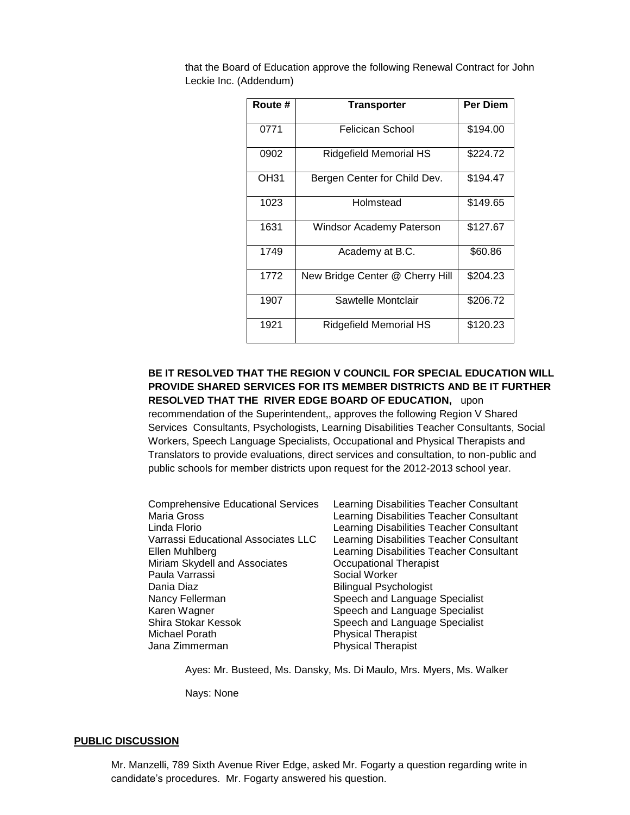| Route # | <b>Transporter</b>              | <b>Per Diem</b> |
|---------|---------------------------------|-----------------|
| 0771    | Felicican School                | \$194.00        |
| 0902    | Ridgefield Memorial HS          | \$224.72        |
| OH31    | Bergen Center for Child Dev.    | \$194.47        |
| 1023    | Holmstead                       | \$149.65        |
| 1631    | Windsor Academy Paterson        | \$127.67        |
| 1749    | Academy at B.C.                 | \$60.86         |
| 1772    | New Bridge Center @ Cherry Hill | \$204.23        |
| 1907    | Sawtelle Montclair              | \$206.72        |
| 1921    | Ridgefield Memorial HS          | \$120.23        |

that the Board of Education approve the following Renewal Contract for John Leckie Inc. (Addendum)

# **BE IT RESOLVED THAT THE REGION V COUNCIL FOR SPECIAL EDUCATION WILL PROVIDE SHARED SERVICES FOR ITS MEMBER DISTRICTS AND BE IT FURTHER RESOLVED THAT THE RIVER EDGE BOARD OF EDUCATION,** upon

recommendation of the Superintendent,, approves the following Region V Shared Services Consultants, Psychologists, Learning Disabilities Teacher Consultants, Social Workers, Speech Language Specialists, Occupational and Physical Therapists and Translators to provide evaluations, direct services and consultation, to non-public and public schools for member districts upon request for the 2012-2013 school year.

Comprehensive Educational Services Learning Disabilities Teacher Consultant Maria Gross Learning Disabilities Teacher Consultant Linda Florio Learning Disabilities Teacher Consultant Varrassi Educational Associates LLC Learning Disabilities Teacher Consultant Ellen Muhlberg Learning Disabilities Teacher Consultant Miriam Skydell and Associates **Communists** Occupational Therapist Paula Varrassi Social Worker Dania Diaz **Bilingual Psychologist** Nancy Fellerman Speech and Language Specialist Karen Wagner Speech and Language Specialist Shira Stokar Kessok Speech and Language Specialist<br>Michael Porath Store Speech Speech and Language Specialist Jana Zimmerman **Physical Therapist** 

Physical Therapist

Ayes: Mr. Busteed, Ms. Dansky, Ms. Di Maulo, Mrs. Myers, Ms. Walker

Nays: None

#### **PUBLIC DISCUSSION**

Mr. Manzelli, 789 Sixth Avenue River Edge, asked Mr. Fogarty a question regarding write in candidate's procedures. Mr. Fogarty answered his question.